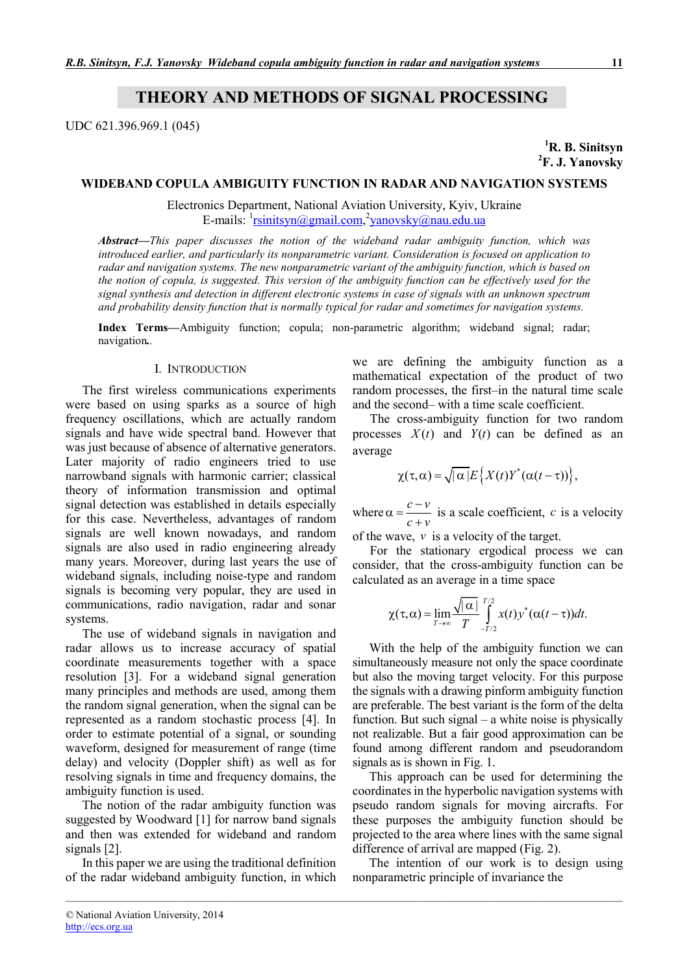# THEORY AND METHODS OF SIGNAL PROCESSING

UDC 621.396.969.1 (045)

<sup>1</sup>R. B. Sinitsyn <sup>2</sup>F. J. Yanovsky

# WIDEBAND COPULA AMBIGUITY FUNCTION IN RADAR AND NAVIGATION SYSTEMS

Electronics Department, National Aviation University, Kyiv, Ukraine E-mails: <sup>1</sup>rsinitsyn@gmail.com,<sup>2</sup>yanovsky@nau.edu.ua

*Abstract*—*This paper discusses the notion of the wideband radar ambiguity function, which was introduced earlier, and particularly its nonparametric variant. Consideration is focused on application to radar and navigation systems. The new nonparametric variant of the ambiguity function, which is based on the notion of copula, is suggested. This version of the ambiguity function can be effectively used for the signal synthesis and detection in different electronic systems in case of signals with an unknown spectrum and probability density function that is normally typical for radar and sometimes for navigation systems.*

Index Terms*—*Ambiguity function; copula; non-parametric algorithm; wideband signal; radar; navigation*..*

*\_\_\_\_\_\_\_\_\_\_\_\_\_\_\_\_\_\_\_\_\_\_\_\_\_\_\_\_\_\_\_\_\_\_\_\_\_\_\_\_\_\_\_\_\_\_\_\_\_\_\_\_\_\_\_\_\_\_\_\_\_\_\_\_\_\_\_\_\_\_\_\_\_\_\_\_\_\_\_\_\_\_\_\_\_\_\_\_\_\_\_\_\_\_\_\_\_\_\_\_\_\_\_\_\_\_\_*

### I. INTRODUCTION

The first wireless communications experiments were based on using sparks as a source of high frequency oscillations, which are actually random signals and have wide spectral band. However that was just because of absence of alternative generators. Later majority of radio engineers tried to use narrowband signals with harmonic carrier; classical theory of information transmission and optimal signal detection was established in details especially for this case. Nevertheless, advantages of random signals are well known nowadays, and random signals are also used in radio engineering already many years. Moreover, during last years the use of wideband signals, including noise-type and random signals is becoming very popular, they are used in communications, radio navigation, radar and sonar systems.

The use of wideband signals in navigation and radar allows us to increase accuracy of spatial coordinate measurements together with a space resolution [3]. For a wideband signal generation many principles and methods are used, among them the random signal generation, when the signal can be represented as a random stochastic process [4]. In order to estimate potential of a signal, or sounding waveform, designed for measurement of range (time delay) and velocity (Doppler shift) as well as for resolving signals in time and frequency domains, the ambiguity function is used.

The notion of the radar ambiguity function was suggested by Woodward [1] for narrow band signals and then was extended for wideband and random signals [2].

In this paper we are using the traditional definition of the radar wideband ambiguity function, in which

we are defining the ambiguity function as a mathematical expectation of the product of two random processes, the first–in the natural time scale and the second– with a time scale coefficient.

The cross-ambiguity function for two random processes  $X(t)$  and  $Y(t)$  can be defined as an average

$$
\chi(\tau,\alpha) = \sqrt{|\alpha|}E\left\{X(t)Y^*(\alpha(t-\tau))\right\},\,
$$

where  $\alpha = \frac{c - v}{c}$  $\alpha = \frac{c - v}{c + v}$  is a scale coefficient, *c* is a velocity

of the wave,  $\nu$  is a velocity of the target.

For the stationary ergodical process we can consider, that the cross-ambiguity function can be calculated as an average in a time space

$$
\chi(\tau,\alpha)=\lim_{T\to\infty}\frac{\sqrt{|\alpha|}}{T}\int_{-T/2}^{T/2}x(t)y^*(\alpha(t-\tau))dt.
$$

With the help of the ambiguity function we can simultaneously measure not only the space coordinate but also the moving target velocity. For this purpose the signals with a drawing pinform ambiguity function are preferable. The best variant is the form of the delta function. But such signal – a white noise is physically not realizable. But a fair good approximation can be found among different random and pseudorandom signals as is shown in Fig. 1.

This approach can be used for determining the coordinates in the hyperbolic navigation systems with pseudo random signals for moving aircrafts. For these purposes the ambiguity function should be projected to the area where lines with the same signal difference of arrival are mapped (Fig. 2).

The intention of our work is to design using nonparametric principle of invariance the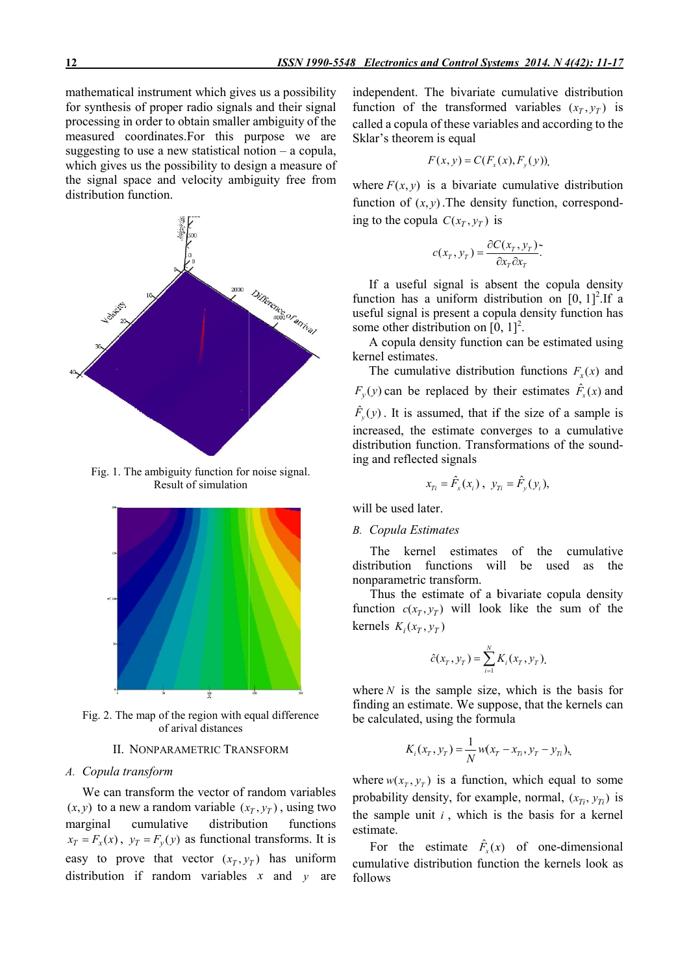mathematical instrument which gives us a possibility for synthesis of proper radio signals and their signal processing in order to obtain smaller ambiguity of the measured coordinates.For this purpose we are suggesting to use a new statistical notion – a copula, which gives us the possibility to design a measure of the signal space and velocity ambiguity free from distribution function.



Fig. 1. The ambiguity function for noise signal. Result of simulation



Fig. 2. The map of the region with equal difference of arival distances

#### II. NONPARAMETRIC TRANSFORM

#### *A. Copula transform*

We can transform the vector of random variables  $(x, y)$  to a new a random variable  $(x_T, y_T)$ , using two marginal cumulative distribution functions  $x_T = F_x(x)$ ,  $y_T = F_y(y)$  as functional transforms. It is easy to prove that vector  $(x_T, y_T)$  has uniform distribution if random variables *x* and *y* are independent. The bivariate cumulative distribution independent. The bivariate cumulative distribution function of the transformed variables  $(x_T, y_T)$  is called a copula of these variables and according to the Sklar's theorem is equal

$$
F(x, y) = C(Fx(x), Fy(y)).
$$

where  $F(x, y)$  is a bivariate cumulative distribution function of  $(x, y)$ . The density function, corresponding to the copula  $C(x_T, y_T)$  is

$$
c(x_T, y_T) = \frac{\partial C(x_T, y_T)}{\partial x_T \partial x_T}.
$$

If a useful signal is absent the copula density If a useful signal is absent the copula density<br>function has a uniform distribution on  $[0, 1]^2$ . If a useful signal is present a copula density function has some other distribution on  $[0, 1]^2$ .

A copula density function can be estimated using kernel estimates.

The cumulative distribution functions  $F_x(x)$  and  $F_y(y)$  can be replaced by their estimates  $\hat{F}_x(x)$  and  $\hat{F}_y(y)$ . It is assumed, that if the size of a sample is increased, the estimate converges to a cumulative distribution function. Transformations of the sounding and reflected signals

$$
x_{Ti} = \hat{F}_x(x_i) , y_{Ti} = \hat{F}_y(y_i),
$$

will be used later.

### *B. Copula Estimates*

The kernel estimates of the cumulative distribution functions will be used as the nonparametric transform.

Thus the estimate of a bivariate copula density function  $c(x_T, y_T)$  will look like the sum of the kernels  $K_i$   $(x_T, y_T)$ kernel estimates of the bivariates of the bivariate estimate of a bivariate  $c(x_T, y_T)$  will look like the  $c(x_T, y_T)$   $\hat{c}(x_T, y_T) = \sum_{r=1}^{N} K_r(x_T, y_T)$ 

$$
\hat{c}(x_T, y_T) = \sum_{i=1}^N K_i(x_T, y_T).
$$

where  $N$  is the sample size, which is the basis for finding an estimate. We suppose, that the kernels can be calculated, using the formula

$$
K_i(x_T, y_T) = \frac{1}{N} w(x_T - x_T, y_T - y_T),
$$

where  $w(x_r, y_r)$  is a function, which equal to some where  $w(x_T, y_T)$  is a function, which equal to some probability density, for example, normal,  $(x_{T_i}, y_{T_i})$  is the sample unit  $i$ , which is the basis for a kernel estimate.

For the estimate  $\hat{F}_x(x)$  of one-dimensional cumulative distribution function the kernels look as follows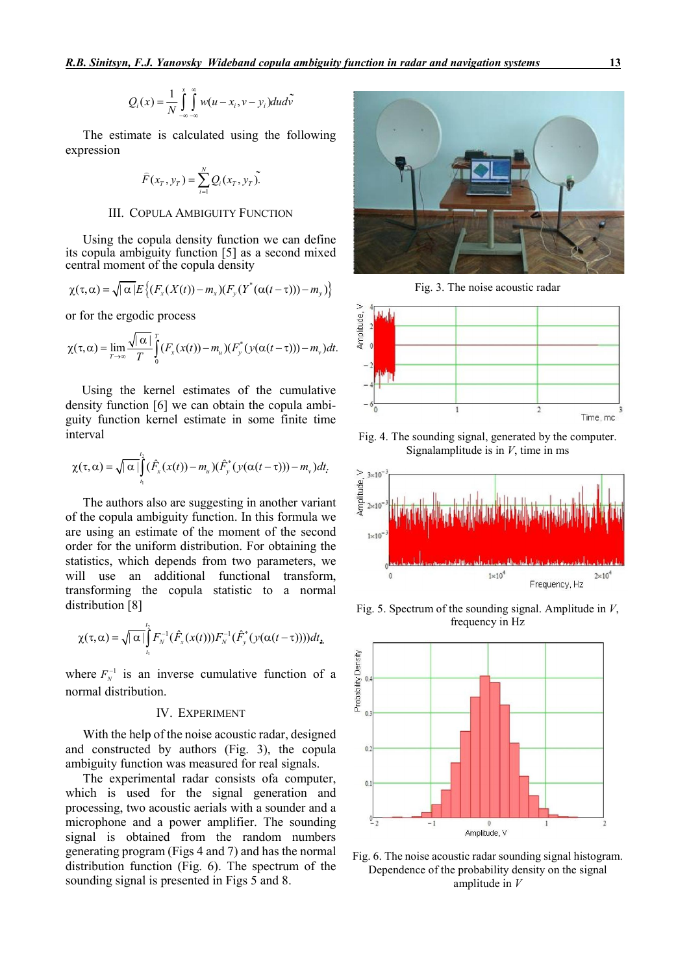$$
Q_i(x) = \frac{1}{N} \int_{-\infty}^{x} \int_{-\infty}^{\infty} w(u - x_i, v - y_i) du d\tilde{v}
$$

The estimate is calculated using the following expression

$$
\widehat{F}(x_T, y_T) = \sum_{i=1}^N Q_i(x_T, y_T).
$$

### III. COPULA AMBIGUITY FUNCTION

Using the copula density function we can define its copula ambiguity function [5] as a second mixed central moment of the copula density

$$
\chi(\tau,\alpha) = \sqrt{|\alpha|} E\left\{ (F_x(X(t)) - m_x)(F_y(Y^*(\alpha(t-\tau))) - m_y) \right\}
$$

or for the ergodic process

$$
\chi(\tau,\alpha)=\lim_{T\to\infty}\frac{\sqrt{|\alpha|}}{T}\int_{0}^{T}(F_{x}(x(t))-m_{u})(F_{y}^{*}(y(\alpha(t-\tau)))-m_{v})dt.
$$

Using the kernel estimates of the cumulative density function [6] we can obtain the copula ambiguity function kernel estimate in some finite time interval

$$
\chi(\tau,\alpha)=\sqrt{|\alpha|}\int_{t_1}^{t_2}(\hat{F}_x(x(t))-m_u)(\hat{F}_y^*(y(\alpha(t-\tau)))-m_v)dt.
$$

The authors also are suggesting in another variant of the copula ambiguity function. In this formula we are using an estimate of the moment of the second order for the uniform distribution. For obtaining the statistics, which depends from two parameters, we will use an additional functional transform, transforming the copula statistic to a normal distribution [8]

$$
\chi(\tau,\alpha)=\sqrt{|\alpha|}\int_{t_1}^{t_2}F_{N}^{-1}(\hat{F}_{X}(x(t)))F_{N}^{-1}(\hat{F}_{Y}^{*}(y(\alpha(t-\tau))))dt_{\mathtt{a}}.
$$

where  $F_N^{-1}$  is an inverse cumulative function of a normal distribution.

#### IV. EXPERIMENT

With the help of the noise acoustic radar, designed and constructed by authors (Fig. 3), the copula ambiguity function was measured for real signals.

The experimental radar consists ofa computer, which is used for the signal generation and processing, two acoustic aerials with a sounder and a microphone and a power amplifier. The sounding signal is obtained from the random numbers generating program (Figs 4 and 7) and has the normal distribution function (Fig. 6). The spectrum of the sounding signal is presented in Figs 5 and 8.



Fig. 3. The noise acoustic radar



Fig. 4. The sounding signal, generated by the computer. Signalamplitude is in *V*, time in ms



Fig. 5. Spectrum of the sounding signal. Amplitude in *V*, frequency in Hz



Fig. 6. The noise acoustic radar sounding signal histogram. Dependence of the probability density on the signal amplitude in *V*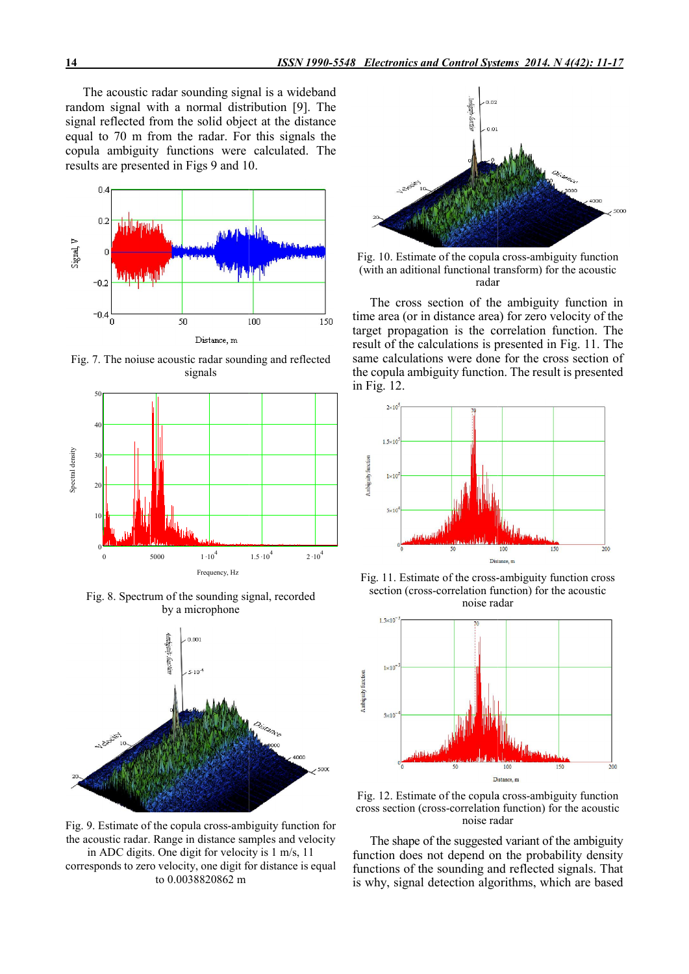The acoustic radar sounding signal is a wideband random signal with a normal distribution [9]. The signal reflected from the solid object at the distance equal to 70 m from the radar. For this signals the copula ambiguity functions were calculated. The results are presented in Figs 9 and 10.



Fig. 7. The noiuse acoustic radar sounding and reflected signals



Fig. 8. Spectrum of the sounding signal, recorded by a microphone



Fig. 9. Estimate of the copula cross-ambiguity function for the acoustic radar. Range in distance samples and velocity in ADC digits. One digit for velocity is 1 m/s, 11 corresponds to zero velocity, one digit for distance is equal to 0.0038820862 m



(with an aditional functional transform) for the acoustic radar Fig. 10. Estimate of the copula cross-ambiguity function

The cross section of the ambiguity function in time area (or in distance area) for zero velocity of the target propagation is the correlation function. The result of the calculations is presented in Fig. 11. The same calculations were done for the cross section of the copula ambiguity function. The result is presented in Fig. 12.



Fig. 11. Estimate of the cross-ambiguity function cross section (cross-correlation function) for the acoustic noise radar



Fig. 12. Estimate of the copula cross-ambiguity function cross section (cross-correlation function) for the acoustic noise radar

noise radar<br>The shape of the suggested variant of the ambiguity function does not depend on the probability density function does not depend on the probability density functions of the sounding and reflected signals. That is why, signal detection algorithms, which are based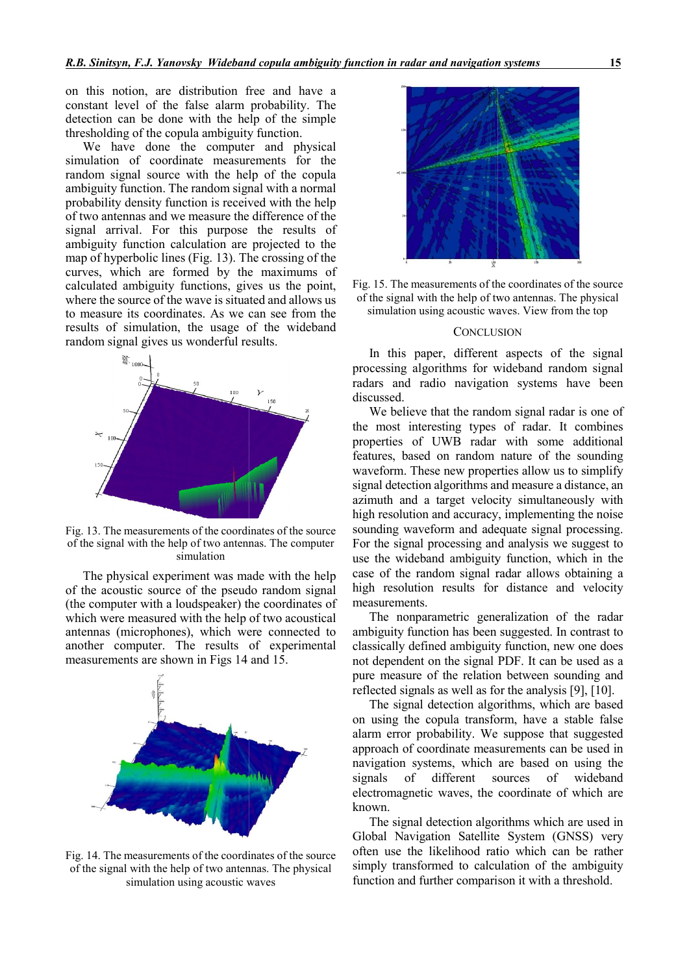on this notion, are distribution free and have a constant level of the false alarm probability. The detection can be done with the help of the simple thresholding of the copula ambiguity function.

We have done the computer and physical simulation of coordinate measurements for the random signal source with the help of the copula ambiguity function. The random signal with a normal probability density function is received with the help of two antennas and we measure the difference of the signal arrival. For this purpose the results of ambiguity function calculation are projected to the map of hyperbolic lines (Fig. 13). The crossing of the curves, which are formed by the maximums of calculated ambiguity functions, gives us the point, where the source of the wave is situated and allows us to measure its coordinates. As we can see from the results of simulation, the usage of the wideband random signal gives us wonderful results. in level of the false alarm probability. The<br>ion can be done with the help of the simple<br>olding of the copula ambiguity function.<br>Photos and physical<br>tion of coordinate measurements for the<br>m signal source with the help of



Fig. 13. The measurements of the coordinates of the source of the signal with the help of two antennas. The computer simulation

The physical experiment was made with the help of the acoustic source of the pseudo random signal (the computer with a loudspeaker) the coordinates of which were measured with the help of two acoustical antennas (microphones), which were connected to another computer. The results of experimental measurements are shown in Figs 14 and 15.



Fig. 14. The measurements of the coordinates of the source of the signal with the help of two antennas. The physical simulation using acoustic waves



Fig. 15. The measurements of the coordinates of the source of the signal with the help of two antennas. The physical simulation using acoustic waves. View from the top

#### **CONCLUSION**

In this paper, different aspects of the signal processing algorithms for wideband random signal radars and radio navigation systems have been discussed. of the signal with the help of two antennas. The physical<br>simulation using acoustic waves. View from the top<br>CONCLUSION<br>In this paper, different aspects of the signal<br>processing algorithms for wideband random signal<br>radars

We believe that the random signal radar is one of the most interesting types of radar. It combines properties of UWB radar with some additional features, based on random nature of the sounding waveform. These new properties allow us to simplify signal detection algorithms and measure a distance, an azimuth and a target velocity simultaneously with high resolution and accuracy, implementing the noise sounding waveform and adequate signal processing. For the signal processing and analysis we suggest to use the wideband ambiguity function, which in the case of the random signal radar allows obtaining a high resolution results for distance and velocity measurements. eve that the random signal radar is one of interesting types of radar. It combines of UWB radar with some additional ased on random nature of the sounding These new properties allow us to simplify signal detection algorithms and measure a distance, an azimuth and a target velocity simultaneously with high resolution and accuracy, implementing the noise sounding waveform and adequate signal processing.<br>For the signal

The nonparametric generalization of the radar ambiguity function has been suggested. In contrast to classically defined ambiguity function, new one does not dependent on the signal PDF. It can be used as a pure measure of the relation between sounding and reflected signals as well as for the analysis [9], [10].

The signal detection algorithms, which are based on using the copula transform, have a stable false alarm error probability. We suppose that suggested approach of coordinate measurements can be used in navigation systems, which are based on using the signals of different sources of wideband electromagnetic waves, the coordinate of which are known. use the wideband ambiguity function, which in the case of the random signal radar allows obtaining a high resolution results for distance and velocity measurements.<br>The nonparametric generalization of the radar ambiguity f

The signal detection algorithms which are used in Global Navigation Satellite System (GNSS) very often use the likelihood ratio which can be rather simply transformed to calculation of the ambiguity function and further comparison it with a threshold.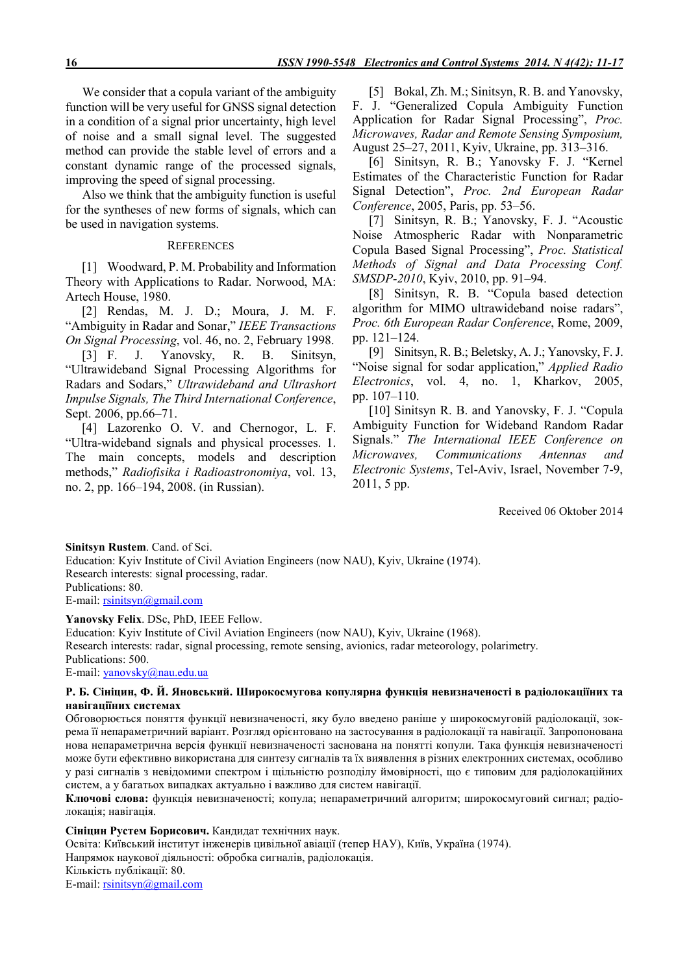We consider that a copula variant of the ambiguity function will be very useful for GNSS signal detection in a condition of a signal prior uncertainty, high level of noise and a small signal level. The suggested method can provide the stable level of errors and a constant dynamic range of the processed signals, improving the speed of signal processing.

Also we think that the ambiguity function is useful for the syntheses of new forms of signals, which can be used in navigation systems.

# **REFERENCES**

[1] Woodward, P. M. Probability and Information Theory with Applications to Radar. Norwood, MA: Artech House, 1980.

[2] Rendas, M. J. D.; Moura, J. M. F. "Ambiguity in Radar and Sonar," *IEEE Transactions On Signal Processing*, vol. 46, no. 2, February 1998.

[3] F. J. Yanovsky, R. B. Sinitsyn, "Ultrawideband Signal Processing Algorithms for Radars and Sodars," *Ultrawideband and Ultrashort Impulse Signals, The Third International Conference*, Sept. 2006, pp.66–71.

[4] Lazorenko O. V. and Chernogor, L. F. "Ultra-wideband signals and physical processes. 1. The main concepts, models and description methods," *Radiofisika i Radioastronomiya*, vol. 13, no. 2, pp. 166–194, 2008. (in Russian).

[5] Bokal, Zh. M.; Sinitsyn, R. B. and Yanovsky, F. J. "Generalized Copula Ambiguity Function Application for Radar Signal Processing", *Proc. Microwaves, Radar and Remote Sensing Symposium,* August 25–27, 2011, Kyiv, Ukraine, pp. 313–316.

[6] Sinitsyn, R. B.; Yanovsky F. J. "Kernel Estimates of the Characteristic Function for Radar Signal Detection", *Proc. 2nd European Radar Conference*, 2005, Paris, pp. 53–56.

[7] Sinitsyn, R. B.; Yanovsky, F. J. "Acoustic Noise Atmospheric Radar with Nonparametric Copula Based Signal Processing", *Proc. Statistical Methods of Signal and Data Processing Conf. SMSDP-2010*, Kyiv, 2010, pp. 91–94.

[8] Sinitsyn, R. B. "Copula based detection algorithm for MIMO ultrawideband noise radars", *Proc. 6th European Radar Conference*, Rome, 2009, pp. 121–124.

[9] Sinitsyn, R. B.; Beletsky, A. J.; Yanovsky, F. J. "Noise signal for sodar application," *Applied Radio Electronics*, vol. 4, no. 1, Kharkov, 2005, pp. 107–110.

[10] Sinitsyn R. B. and Yanovsky, F. J. "Copula Ambiguity Function for Wideband Random Radar Signals." *The International IEEE Conference on Microwaves, Communications Antennas and Electronic Systems*, Tel-Aviv, Israel, November 7-9, 2011, 5 pp.

Received 06 Oktober 2014

Sinitsyn Rustem. Cand. of Sci.

Education: Kyiv Institute of Civil Aviation Engineers (now NAU), Kyiv, Ukraine (1974). Research interests: signal processing, radar. Publications: 80.

E-mail: rsinitsyn@gmail.com

Yanovsky Felix. DSc, PhD, IEEE Fellow.

Education: Kyiv Institute of Civil Aviation Engineers (now NAU), Kyiv, Ukraine (1968). Research interests: radar, signal processing, remote sensing, avionics, radar meteorology, polarimetry.

Publications: 500.

E-mail: yanovsky@nau.edu.ua

# Р. Б. Сініцин, Ф. Й. Яновський. Широкосмугова копулярна функція невизначеності в радіолокаціїних та навігаціїних системах

Обговорюється поняття функції невизначеності, яку було введено раніше у широкосмуговій радіолокації, зокрема її непараметричний варіант. Розгляд орієнтовано на застосування в радіолокації та навігації. Запропонована нова непараметрична версія функції невизначеності заснована на понятті копули. Така функція невизначеності може бути ефективно використана для синтезу сигналів та їх виявлення в різних електронних системах, особливо у разі сигналів з невідомими спектром і щільністю розподілу ймовірності, що є типовим для радіолокаційних систем, а у багатьох випадках актуально і важливо для систем навігації.

Ключові слова: функція невизначеності; копула; непараметричний алгоритм; широкосмуговий сигнал; радіолокація; навігація.

Сініцин Рустем Борисович. Кандидат технічних наук.

Освіта: Київський інститут інженерів цивільної авіації (тепер НАУ), Київ, Україна (1974). Напрямок наукової діяльності: обробка сигналів, радіолокація. Кількість публікації: 80.

Е-mail: rsinitsyn@gmail.com